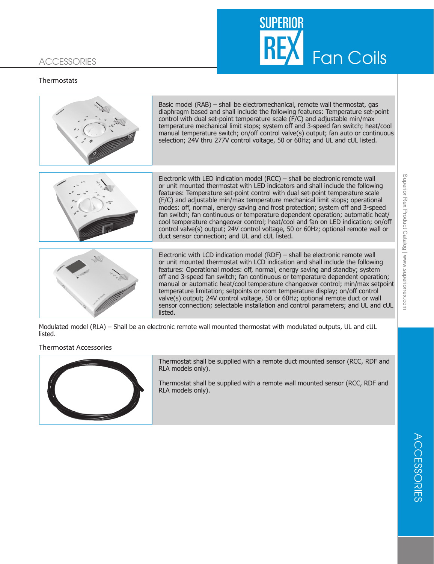# **SUPERIOR** Fan Coils

# **ACCESSORIES**

## **Thermostats**



off and 3-speed fan switch; fan continuous or temperature dependent operation; manual or automatic heat/cool temperature changeover control; min/max setpoint valve(s) output; 24V control voltage, 50 or 60Hz; optional remote duct or wall sensor connection; selectable installation and control parameters; and UL and cUL listed.

Modulated model (RLA) – Shall be an electronic remote wall mounted thermostat with modulated outputs, UL and cUL listed.

## Thermostat Accessories



Thermostat shall be supplied with a remote duct mounted sensor (RCC, RDF and RLA models only).

Thermostat shall be supplied with a remote wall mounted sensor (RCC, RDF and RLA models only).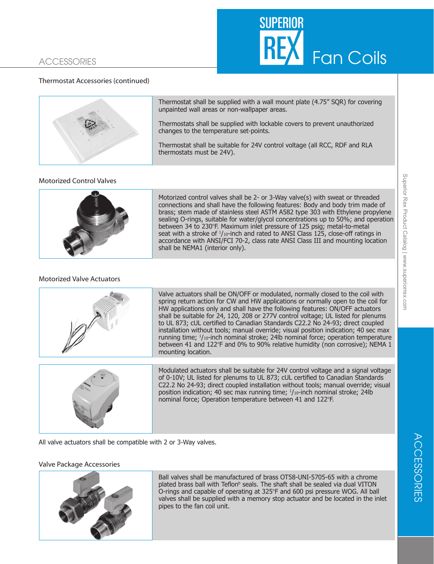# **ACCESSORIES**



## Thermostat Accessories (continued)



Thermostat shall be supplied with a wall mount plate (4.75" SQR) for covering unpainted wall areas or non-wallpaper areas.

Thermostats shall be supplied with lockable covers to prevent unauthorized changes to the temperature set-points.

Thermostat shall be suitable for 24V control voltage (all RCC, RDF and RLA thermostats must be 24V).

#### Motorized Control Valves



Motorized control valves shall be 2- or 3-Way valve(s) with sweat or threaded connections and shall have the following features: Body and body trim made of brass; stem made of stainless steel ASTM A582 type 303 with Ethylene propylene sealing O-rings, suitable for water/glycol concentrations up to 50%; and operation between 34 to 230°F. Maximum inlet pressure of 125 psig; metal-to-metal seat with a stroke of  $\frac{1}{10}$ -inch and rated to ANSI Class 125, close-off ratings in accordance with ANSI/FCI 70-2, class rate ANSI Class III and mounting location shall be NEMA1 (interior only).

#### Motorized Valve Actuators



Valve actuators shall be ON/OFF or modulated, normally closed to the coil with spring return action for CW and HW applications or normally open to the coil for HW applications only and shall have the following features: ON/OFF actuators shall be suitable for 24, 120, 208 or 277V control voltage; UL listed for plenums to UL 873; cUL certified to Canadian Standards C22.2 No 24-93; direct coupled installation without tools; manual override; visual position indication; 40 sec max running time; <sup>1</sup> /10-inch nominal stroke; 24lb nominal force; operation temperature between 41 and 122°F and 0% to 90% relative humidity (non corrosive); NEMA 1 mounting location.



Modulated actuators shall be suitable for 24V control voltage and a signal voltage of 0-10V; UL listed for plenums to UL 873; cUL certified to Canadian Standards C22.2 No 24-93; direct coupled installation without tools; manual override; visual position indication; 40 sec max running time;  $1/10$ -inch nominal stroke; 24lb nominal force; Operation temperature between 41 and 122°F.

All valve actuators shall be compatible with 2 or 3-Way valves.

#### Valve Package Accessories



Ball valves shall be manufactured of brass OT58-UNI-5705-65 with a chrome plated brass ball with Teflon<sup>b</sup> seals. The shaft shall be sealed via dual VITON O-rings and capable of operating at 325°F and 600 psi pressure WOG. All ball valves shall be supplied with a memory stop actuator and be located in the inlet pipes to the fan coil unit.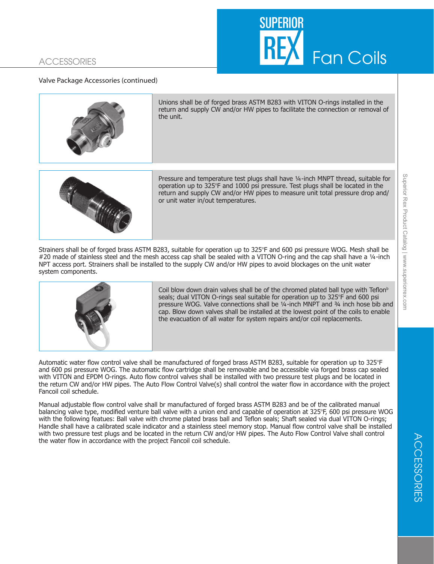# SUPFRIOR Fan Coils

# **ACCESSORIES**

### Valve Package Accessories (continued)



Unions shall be of forged brass ASTM B283 with VITON O-rings installed in the return and supply CW and/or HW pipes to facilitate the connection or removal of the unit.



Pressure and temperature test plugs shall have ¼-inch MNPT thread, suitable for operation up to  $325^{\circ}F$  and 1000 psi pressure. Test plugs shall be located in the return and supply CW and/or HW pipes to measure unit total pressure drop and/ or unit water in/out temperatures.

Strainers shall be of forged brass ASTM B283, suitable for operation up to 325°F and 600 psi pressure WOG. Mesh shall be #20 made of stainless steel and the mesh access cap shall be sealed with a VITON O-ring and the cap shall have a 1/4-inch NPT access port. Strainers shall be installed to the supply CW and/or HW pipes to avoid blockages on the unit water system components.



Coil blow down drain valves shall be of the chromed plated ball type with Teflon<sup>b</sup> seals; dual VITON O-rings seal suitable for operation up to 325°F and 600 psi pressure WOG. Valve connections shall be ¼-inch MNPT and ¾ inch hose bib and cap. Blow down valves shall be installed at the lowest point of the coils to enable the evacuation of all water for system repairs and/or coil replacements.

Automatic water flow control valve shall be manufactured of forged brass ASTM B283, suitable for operation up to 325°F and 600 psi pressure WOG. The automatic flow cartridge shall be removable and be accessible via forged brass cap sealed with VITON and EPDM O-rings. Auto flow control valves shall be installed with two pressure test plugs and be located in the return CW and/or HW pipes. The Auto Flow Control Valve(s) shall control the water flow in accordance with the project Fancoil coil schedule.

Manual adjustable flow control valve shall br manufactured of forged brass ASTM B283 and be of the calibrated manual balancing valve type, modified venture ball valve with a union end and capable of operation at 325°F, 600 psi pressure WOG with the following featues: Ball valve with chrome plated brass ball and Teflon seals; Shaft sealed via dual VITON O-rings; Handle shall have a calibrated scale indicator and a stainless steel memory stop. Manual flow control valve shall be installed with two pressure test plugs and be located in the return CW and/or HW pipes. The Auto Flow Control Valve shall control the water flow in accordance with the project Fancoil coil schedule.